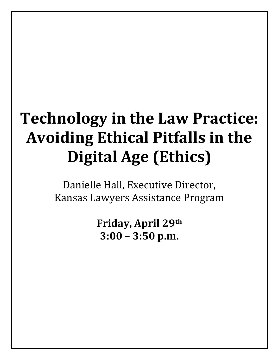# **Technology in the Law Practice: Avoiding Ethical Pitfalls in the Digital Age (Ethics)**

Danielle Hall, Executive Director, Kansas Lawyers Assistance Program

> **Friday, April 29th 3:00 – 3:50 p.m.**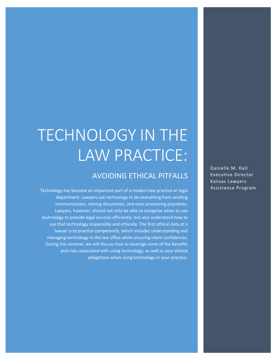## TECHNOLOGY IN THE LAW PRACTICE:

## AVOIDING ETHICAL PITFALLS

Technology has become an important part of a modern law practice or legal department. Lawyers use technology to do everything from sending communication, storing documents, and even processing payments. Lawyers, however, should not only be able to recognize when to use technology to provide legal services efficiently, but also understand how to use that technology responsibly and ethically. The first ethical duty of a lawyer is to practice competently, which includes understanding and managing technology in the law office while ensuring client confidences. During this seminar, we will discuss how to leverage some of the benefits and risks associated with using technology, as well as your ethical obligations when using technology in your practice.

Danielle M. Hall Executive Director Kansas Lawyers Assistance Program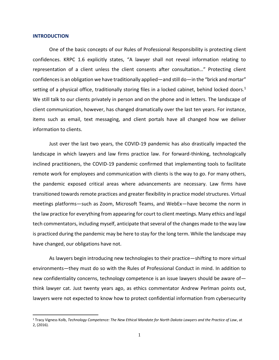#### **INTRODUCTION**

One of the basic concepts of our Rules of Professional Responsibility is protecting client confidences. KRPC 1.6 explicitly states, "A lawyer shall not reveal information relating to representation of a client unless the client consents after consultation…" Protecting client confidences is an obligation we have traditionally applied―and still do―in the "brick and mortar" setting of a physical office, traditionally storing files in a locked cabinet, behind locked doors.<sup>1</sup> We still talk to our clients privately in person and on the phone and in letters. The landscape of client communication, however, has changed dramatically over the last ten years. For instance, items such as email, text messaging, and client portals have all changed how we deliver information to clients.

Just over the last two years, the COVID-19 pandemic has also drastically impacted the landscape in which lawyers and law firms practice law. For forward-thinking, technologically inclined practitioners, the COVID-19 pandemic confirmed that implementing tools to facilitate remote work for employees and communication with clients is the way to go. For many others, the pandemic exposed critical areas where advancements are necessary. Law firms have transitioned towards remote practices and greater flexibility in practice model structures. Virtual meetings platforms—such as Zoom, Microsoft Teams, and WebEx—have become the norm in the law practice for everything from appearing for court to client meetings. Many ethics and legal tech commentators, including myself, anticipate that several of the changes made to the way law is practiced during the pandemic may be here to stay for the long term. While the landscape may have changed, our obligations have not.

As lawyers begin introducing new technologies to their practice—shifting to more virtual environments—they must do so with the Rules of Professional Conduct in mind. In addition to new confidentiality concerns, technology competence is an issue lawyers should be aware of think lawyer cat. Just twenty years ago, as ethics commentator Andrew Perlman points out, lawyers were not expected to know how to protect confidential information from cybersecurity

<sup>1</sup> Tracy Vigness Kolb, *Technology Competence: The New Ethical Mandate for North Dakota Lawyers and the Practice of Law*, at 2, (2016).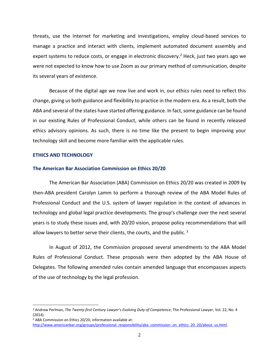threats, use the Internet for marketing and investigations, employ cloud-based services to manage a practice and interact with clients, implement automated document assembly and expert systems to reduce costs, or engage in electronic discovery.<sup>2</sup> Heck, just two years ago we were not expected to know how to use Zoom as our primary method of communication, despite its several years of existence.

Because of the digital age we now live and work in, our ethics rules need to reflect this change, giving us both guidance and flexibility to practice in the modern era. As a result, both the ABA and several of the states have started offering guidance. In fact, some guidance can be found in our existing Rules of Professional Conduct, while others can be found in recently released ethics advisory opinions. As such, there is no time like the present to begin improving your technology skill and become more familiar with the applicable rules.

#### **ETHICS AND TECHNOLOGY**

#### **The American Bar Association Commission on Ethics 20/20**

The American Bar Association (ABA) Commission on Ethics 20/20 was created in 2009 by then-ABA president Carolyn Lamm to perform a thorough review of the ABA Model Rules of Professional Conduct and the U.S. system of lawyer regulation in the context of advances in technology and global legal practice developments. The group's challenge over the next several years is to study these issues and, with 20/20 vision, propose policy recommendations that will allow lawyers to better serve their clients, the courts, and the public.<sup>3</sup>

In August of 2012, the Commission proposed several amendments to the ABA Model Rules of Professional Conduct. These proposals were then adopted by the ABA House of Delegates. The following amended rules contain amended language that encompasses aspects of the use of technology by the legal profession.

<sup>2</sup> Andrew Perlman, *The Twenty-first Century Lawyer's Evolving Duty of Competence*, The Professional Lawyer, Vol. 22, No. 4 (2014).

<sup>3</sup> ABA Commission on Ethics 20/20, information available at:

http://www.americanbar.org/groups/professional\_responsibility/aba\_commission\_on\_ethics\_20\_20/about\_us.html.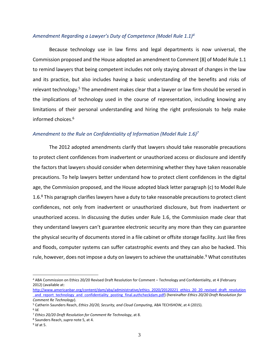### *Amendment Regarding a Lawyer's Duty of Competence (Model Rule 1.1)<sup>4</sup>*

Because technology use in law firms and legal departments is now universal, the Commission proposed and the House adopted an amendment to Comment [8] of Model Rule 1.1 to remind lawyers that being competent includes not only staying abreast of changes in the law and its practice, but also includes having a basic understanding of the benefits and risks of relevant technology.<sup>5</sup> The amendment makes clear that a lawyer or law firm should be versed in the implications of technology used in the course of representation, including knowing any limitations of their personal understanding and hiring the right professionals to help make informed choices.<sup>6</sup>

## *Amendment to the Rule on Confidentiality of Information (Model Rule 1.6)<sup>7</sup>*

The 2012 adopted amendments clarify that lawyers should take reasonable precautions to protect client confidences from inadvertent or unauthorized access or disclosure and identify the factors that lawyers should consider when determining whether they have taken reasonable precautions. To help lawyers better understand how to protect client confidences in the digital age, the Commission proposed, and the House adopted black letter paragraph (c) to Model Rule 1.6.<sup>8</sup> This paragraph clarifies lawyers have a duty to take reasonable precautions to protect client confidences, not only from inadvertent or unauthorized disclosure, but from inadvertent or unauthorized access. In discussing the duties under Rule 1.6, the Commission made clear that they understand lawyers can't guarantee electronic security any more than they can guarantee the physical security of documents stored in a file cabinet or offsite storage facility. Just like fires and floods, computer systems can suffer catastrophic events and they can also be hacked. This rule, however, does not impose a duty on lawyers to achieve the unattainable.<sup>9</sup> What constitutes

<sup>4</sup> ABA Commission on Ethics 20/20 Revised Draft Resolution for Comment – Technology and Confidentiality, at 4 (February 2012) (available at:

[http://www.americanbar.org/content/dam/aba/administrative/ethics\\_2020/20120221\\_ethics\\_20\\_20\\_revised\\_draft\\_resolution](http://www.americanbar.org/content/dam/aba/administrative/ethics_2020/20120221_ethics_20_20_revised_draft_resolution_and_report_technology_and_confidentiality_posting_final.authcheckdam.pdf) [\\_and\\_report\\_technology\\_and\\_confidentiality\\_posting\\_final.authcheckdam.pdf\)](http://www.americanbar.org/content/dam/aba/administrative/ethics_2020/20120221_ethics_20_20_revised_draft_resolution_and_report_technology_and_confidentiality_posting_final.authcheckdam.pdf) (hereinafter *Ethics 20/20 Draft Resolution for Comment Re Technology*).

<sup>5</sup> Catherin Saunders Reach, *Ethics 20/20, Security, and Cloud Computing*, ABA TECHSHOW, at 4 (2015). 6 *Id.*

<sup>7</sup> *Ethics 20/20 Draft Resolution for Comment Re Technology*, at 8.

<sup>8</sup> Saunders Reach, *supra* note 5, at 4.

<sup>9</sup> *Id* at 5.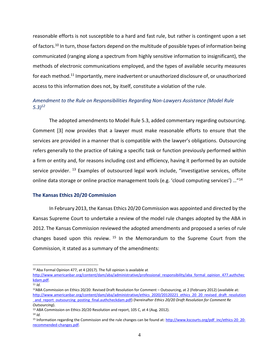reasonable efforts is not susceptible to a hard and fast rule, but rather is contingent upon a set of factors.<sup>10</sup> In turn, those factors depend on the multitude of possible types of information being communicated (ranging along a spectrum from highly sensitive information to insignificant), the methods of electronic communications employed, and the types of available security measures for each method.<sup>11</sup> Importantly, mere inadvertent or unauthorized disclosure of, or unauthorized access to this information does not, by itself, constitute a violation of the rule.

## *Amendment to the Rule on Responsibilities Regarding Non-Lawyers Assistance (Model Rule 5.3)<sup>12</sup>*

The adopted amendments to Model Rule 5.3, added commentary regarding outsourcing. Comment [3] now provides that a lawyer must make reasonable efforts to ensure that the services are provided in a manner that is compatible with the lawyer's obligations. Outsourcing refers generally to the practice of taking a specific task or function previously performed within a firm or entity and, for reasons including cost and efficiency, having it performed by an outside service provider. <sup>13</sup> Examples of outsourced legal work include, "investigative services, offsite online data storage or online practice management tools (e.g. 'cloud computing services') ..."<sup>14</sup>

### **The Kansas Ethics 20/20 Commission**

In February 2013, the Kansas Ethics 20/20 Commission was appointed and directed by the Kansas Supreme Court to undertake a review of the model rule changes adopted by the ABA in 2012. The Kansas Commission reviewed the adopted amendments and proposed a series of rule changes based upon this review.  $15$  In the Memorandum to the Supreme Court from the Commission, it stated as a summary of the amendments:

<sup>&</sup>lt;sup>10</sup> Aba Formal Opinion 477, at 4 (2017). The full opinion is available at

[http://www.americanbar.org/content/dam/aba/administrative/professional\\_responsibility/aba\\_formal\\_opinion\\_477.authchec](http://www.americanbar.org/content/dam/aba/administrative/professional_responsibility/aba_formal_opinion_477.authcheckdam.pdf) [kdam.pdf.](http://www.americanbar.org/content/dam/aba/administrative/professional_responsibility/aba_formal_opinion_477.authcheckdam.pdf) 

<sup>11</sup> *Id.*

<sup>12</sup>ABA Commission on Ethics 20/20: Revised Draft Resolution for Comment – Outsourcing, at 2 (February 2012) (available at: [http://www.americanbar.org/content/dam/aba/administrative/ethics\\_2020/20120221\\_ethics\\_20\\_20\\_revised\\_draft\\_resolution](http://www.americanbar.org/content/dam/aba/administrative/ethics_2020/20120221_ethics_20_20_revised_draft_resolution_and_report_outsourcing_posting_final.authcheckdam.pdf) [\\_and\\_report\\_outsourcing\\_posting\\_final.authcheckdam.pdf\)](http://www.americanbar.org/content/dam/aba/administrative/ethics_2020/20120221_ethics_20_20_revised_draft_resolution_and_report_outsourcing_posting_final.authcheckdam.pdf) (hereinafter *Ethics 20/20 Draft Resolution for Comment Re Outsourcing*).

<sup>&</sup>lt;sup>13</sup> ABA Commission on Ethics 20/20 Resolution and report, 105 C, at 4 (Aug. 2012). <sup>14</sup> *Id.*

<sup>15</sup> Information regarding the Commission and the rule changes can be found at: http://www.kscourts.org/pdf inc/ethics-20\_20[recommended-changes.pdf.](http://www.kscourts.org/pdf_inc/ethics-20_20-recommended-changes.pdf)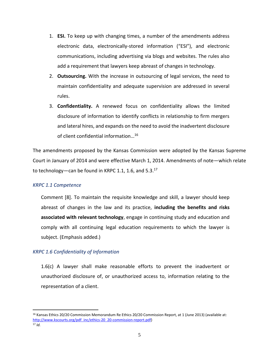- 1. **ESI.** To keep up with changing times, a number of the amendments address electronic data, electronically-stored information ("ESI"), and electronic communications, including advertising via blogs and websites. The rules also add a requirement that lawyers keep abreast of changes in technology.
- 2. **Outsourcing.** With the increase in outsourcing of legal services, the need to maintain confidentiality and adequate supervision are addressed in several rules.
- 3. **Confidentiality.** A renewed focus on confidentiality allows the limited disclosure of information to identify conflicts in relationship to firm mergers and lateral hires, and expands on the need to avoid the inadvertent disclosure of client confidential information…<sup>16</sup>

The amendments proposed by the Kansas Commission were adopted by the Kansas Supreme Court in January of 2014 and were effective March 1, 2014. Amendments of note―which relate to technology—can be found in KRPC 1.1, 1.6, and 5.3.17

## *KRPC 1.1 Competence*

Comment [8]. To maintain the requisite knowledge and skill, a lawyer should keep abreast of changes in the law and its practice, **including the benefits and risks associated with relevant technology**, engage in continuing study and education and comply with all continuing legal education requirements to which the lawyer is subject. (Emphasis added.)

## *KRPC 1.6 Confidentiality of Information*

1.6(c) A lawyer shall make reasonable efforts to prevent the inadvertent or unauthorized disclosure of, or unauthorized access to, information relating to the representation of a client.

<sup>&</sup>lt;sup>16</sup> Kansas Ethics 20/20 Commission Memorandum Re Ethics 20/20 Commission Report, at 1 (June 2013) (available at: [http://www.kscourts.org/pdf\\_inc/ethics-20\\_20-commission-report.pdf\)](http://www.kscourts.org/pdf_inc/ethics-20_20-commission-report.pdf)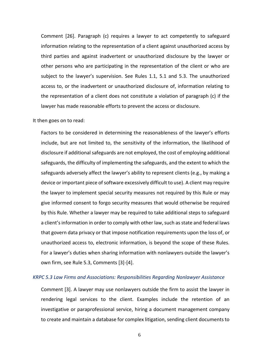Comment [26]. Paragraph (c) requires a lawyer to act competently to safeguard information relating to the representation of a client against unauthorized access by third parties and against inadvertent or unauthorized disclosure by the lawyer or other persons who are participating in the representation of the client or who are subject to the lawyer's supervision. See Rules 1.1, 5.1 and 5.3. The unauthorized access to, or the inadvertent or unauthorized disclosure of, information relating to the representation of a client does not constitute a violation of paragraph (c) if the lawyer has made reasonable efforts to prevent the access or disclosure.

It then goes on to read:

Factors to be considered in determining the reasonableness of the lawyer's efforts include, but are not limited to, the sensitivity of the information, the likelihood of disclosure if additional safeguards are not employed, the cost of employing additional safeguards, the difficulty of implementing the safeguards, and the extent to which the safeguards adversely affect the lawyer's ability to represent clients (e.g., by making a device or important piece of software excessively difficult to use). A client may require the lawyer to implement special security measures not required by this Rule or may give informed consent to forgo security measures that would otherwise be required by this Rule. Whether a lawyer may be required to take additional steps to safeguard a client's information in order to comply with other law, such as state and federal laws that govern data privacy or that impose notification requirements upon the loss of, or unauthorized access to, electronic information, is beyond the scope of these Rules. For a lawyer's duties when sharing information with nonlawyers outside the lawyer's own firm, see Rule 5.3, Comments [3]-[4].

#### *KRPC 5.3 Law Firms and Associations: Responsibilities Regarding Nonlawyer Assistance*

Comment [3]. A lawyer may use nonlawyers outside the firm to assist the lawyer in rendering legal services to the client. Examples include the retention of an investigative or paraprofessional service, hiring a document management company to create and maintain a database for complex litigation, sending client documents to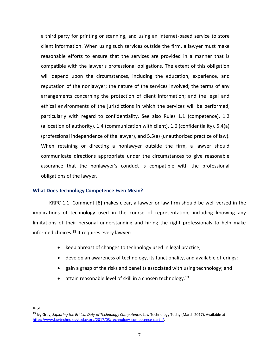a third party for printing or scanning, and using an Internet-based service to store client information. When using such services outside the firm, a lawyer must make reasonable efforts to ensure that the services are provided in a manner that is compatible with the lawyer's professional obligations. The extent of this obligation will depend upon the circumstances, including the education, experience, and reputation of the nonlawyer; the nature of the services involved; the terms of any arrangements concerning the protection of client information; and the legal and ethical environments of the jurisdictions in which the services will be performed, particularly with regard to confidentiality. See also Rules 1.1 (competence), 1.2 (allocation of authority), 1.4 (communication with client), 1.6 (confidentiality), 5.4(a) (professional independence of the lawyer), and 5.5(a) (unauthorized practice of law). When retaining or directing a nonlawyer outside the firm, a lawyer should communicate directions appropriate under the circumstances to give reasonable assurance that the nonlawyer's conduct is compatible with the professional obligations of the lawyer.

#### **What Does Technology Competence Even Mean?**

KRPC 1.1, Comment [8] makes clear, a lawyer or law firm should be well versed in the implications of technology used in the course of representation, including knowing any limitations of their personal understanding and hiring the right professionals to help make informed choices.<sup>18</sup> It requires every lawyer:

- keep abreast of changes to technology used in legal practice;
- develop an awareness of technology, its functionality, and available offerings;
- gain a grasp of the risks and benefits associated with using technology; and
- attain reasonable level of skill in a chosen technology.<sup>19</sup>

<sup>18</sup> *Id.*

<sup>19</sup> Ivy Grey, *Exploring the Ethical Duty of Technology Competence*, Law Technology Today (March 2017). Available at [http://www.lawtechnologytoday.org/2017/03/technology-competence-part-i/.](http://www.lawtechnologytoday.org/2017/03/technology-competence-part-i/)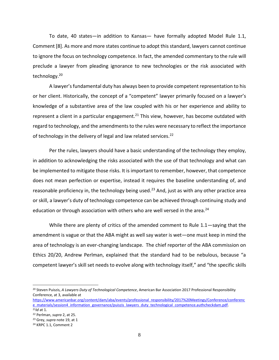To date, 40 states—in addition to Kansas— have formally adopted Model Rule 1.1, Comment [8]. As more and more states continue to adopt this standard, lawyers cannot continue to ignore the focus on technology competence. In fact, the amended commentary to the rule will preclude a lawyer from pleading ignorance to new technologies or the risk associated with technology.<sup>20</sup>

A lawyer's fundamental duty has always been to provide competent representation to his or her client. Historically, the concept of a "competent" lawyer primarily focused on a lawyer's knowledge of a substantive area of the law coupled with his or her experience and ability to represent a client in a particular engagement.<sup>21</sup> This view, however, has become outdated with regard to technology, and the amendments to the rules were necessary to reflect the importance of technology in the delivery of legal and law related services.<sup>22</sup>

Per the rules, lawyers should have a basic understanding of the technology they employ, in addition to acknowledging the risks associated with the use of that technology and what can be implemented to mitigate those risks. It is important to remember, however, that competence does not mean perfection or expertise, instead it requires the baseline understanding of, and reasonable proficiency in, the technology being used.<sup>23</sup> And, just as with any other practice area or skill, a lawyer's duty of technology competence can be achieved through continuing study and education or through association with others who are well versed in the area.<sup>24</sup>

While there are plenty of critics of the amended comment to Rule 1.1—saying that the amendment is vague or that the ABA might as well say water is wet—one must keep in mind the area of technology is an ever-changing landscape. The chief reporter of the ABA commission on Ethics 20/20, Andrew Perlman, explained that the standard had to be nebulous, because "a competent lawyer's skill set needs to evolve along with technology itself," and "the specific skills

<sup>20</sup> Steven Puiszis, *A Lawyers Duty of Technological Competence*, American Bar Association 2017 Professional Responsibility Conference, at 3, available at

[https://www.americanbar.org/content/dam/aba/events/professional\\_responsibility/2017%20Meetings/Conference/conferenc](https://www.americanbar.org/content/dam/aba/events/professional_responsibility/2017%20Meetings/Conference/conference_materials/session4_information_governance/puiszis_lawyers_duty_technological_competence.authcheckdam.pdf) [e\\_materials/session4\\_information\\_governance/puiszis\\_lawyers\\_duty\\_technological\\_competence.authcheckdam.pdf.](https://www.americanbar.org/content/dam/aba/events/professional_responsibility/2017%20Meetings/Conference/conference_materials/session4_information_governance/puiszis_lawyers_duty_technological_competence.authcheckdam.pdf) <sup>21</sup>*Id* at 1.

<sup>22</sup> Perlman, *supra* 2, at 25.

<sup>23</sup> Grey, *supra* note 19, at 1

<sup>24</sup> KRPC 1.1, Comment 2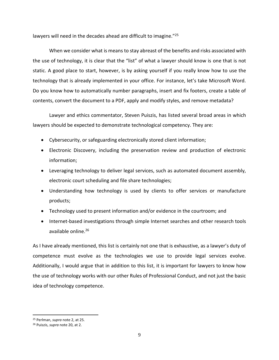lawyers will need in the decades ahead are difficult to imagine."<sup>25</sup>

When we consider what is means to stay abreast of the benefits and risks associated with the use of technology, it is clear that the "list" of what a lawyer should know is one that is not static. A good place to start, however, is by asking yourself if you really know how to use the technology that is already implemented in your office. For instance, let's take Microsoft Word. Do you know how to automatically number paragraphs, insert and fix footers, create a table of contents, convert the document to a PDF, apply and modify styles, and remove metadata?

Lawyer and ethics commentator, Steven Puiszis, has listed several broad areas in which lawyers should be expected to demonstrate technological competency. They are:

- Cybersecurity, or safeguarding electronically stored client information;
- Electronic Discovery, including the preservation review and production of electronic information;
- Leveraging technology to deliver legal services, such as automated document assembly, electronic court scheduling and file share technologies;
- Understanding how technology is used by clients to offer services or manufacture products;
- Technology used to present information and/or evidence in the courtroom; and
- Internet-based investigations through simple Internet searches and other research tools available online.<sup>26</sup>

As I have already mentioned, this list is certainly not one that is exhaustive, as a lawyer's duty of competence must evolve as the technologies we use to provide legal services evolve. Additionally, I would argue that in addition to this list, it is important for lawyers to know how the use of technology works with our other Rules of Professional Conduct, and not just the basic idea of technology competence.

<sup>25</sup> Perlman, *supra* note 2, at 25.

<sup>26</sup> Puiszis, *supra* note 20, at 2.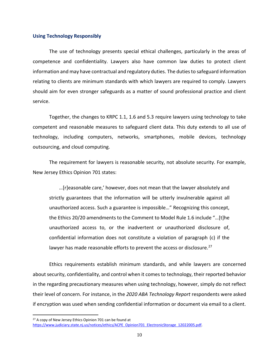#### **Using Technology Responsibly**

The use of technology presents special ethical challenges, particularly in the areas of competence and confidentiality. Lawyers also have common law duties to protect client information and may have contractual and regulatory duties. The duties to safeguard information relating to clients are minimum standards with which lawyers are required to comply. Lawyers should aim for even stronger safeguards as a matter of sound professional practice and client service.

Together, the changes to KRPC 1.1, 1.6 and 5.3 require lawyers using technology to take competent and reasonable measures to safeguard client data. This duty extends to all use of technology, including computers, networks, smartphones, mobile devices, technology outsourcing, and cloud computing.

The requirement for lawyers is reasonable security, not absolute security. For example, New Jersey Ethics Opinion 701 states:

…[r]easonable care,' however, does not mean that the lawyer absolutely and strictly guarantees that the information will be utterly invulnerable against all unauthorized access. Such a guarantee is impossible…" Recognizing this concept, the Ethics 20/20 amendments to the Comment to Model Rule 1.6 include "…[t]he unauthorized access to, or the inadvertent or unauthorized disclosure of, confidential information does not constitute a violation of paragraph (c) if the lawyer has made reasonable efforts to prevent the access or disclosure.<sup>27</sup>

Ethics requirements establish minimum standards, and while lawyers are concerned about security, confidentiality, and control when it comes to technology, their reported behavior in the regarding precautionary measures when using technology, however, simply do not reflect their level of concern. For instance, in the *2020 ABA Technology Report* respondents were asked if encryption was used when sending confidential information or document via email to a client.

<sup>&</sup>lt;sup>27</sup> A copy of New Jersey Ethics Opinion 701 can be found at [https://www.judiciary.state.nj.us/notices/ethics/ACPE\\_Opinion701\\_ElectronicStorage\\_12022005.pdf](https://www.judiciary.state.nj.us/notices/ethics/ACPE_Opinion701_ElectronicStorage_12022005.pdf).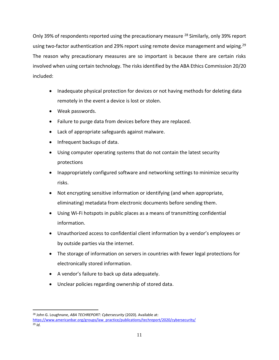Only 39% of respondents reported using the precautionary measure <sup>28</sup> Similarly, only 39% report using two-factor authentication and 29% report using remote device management and wiping.<sup>29</sup> The reason why precautionary measures are so important is because there are certain risks involved when using certain technology. The risks identified by the ABA Ethics Commission 20/20 included:

- Inadequate physical protection for devices or not having methods for deleting data remotely in the event a device is lost or stolen.
- Weak passwords.
- Failure to purge data from devices before they are replaced.
- Lack of appropriate safeguards against malware.
- Infrequent backups of data.
- Using computer operating systems that do not contain the latest security protections
- Inappropriately configured software and networking settings to minimize security risks.
- Not encrypting sensitive information or identifying (and when appropriate, eliminating) metadata from electronic documents before sending them.
- Using Wi-Fi hotspots in public places as a means of transmitting confidential information.
- Unauthorized access to confidential client information by a vendor's employees or by outside parties via the internet.
- The storage of information on servers in countries with fewer legal protections for electronically stored information.
- A vendor's failure to back up data adequately.
- Unclear policies regarding ownership of stored data.

<sup>28</sup> John G. Loughnane, *ABA TECHREPORT: Cybersecurity* (2020). Available at:

[https://www.americanbar.org/groups/law\\_practice/publications/techreport/2020/cybersecurity/](https://www.americanbar.org/groups/law_practice/publications/techreport/2020/cybersecurity/) <sup>29</sup> *Id.*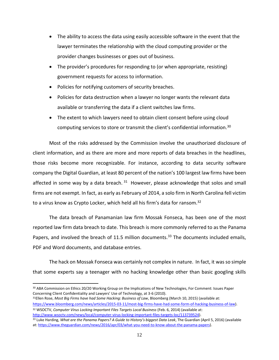- The ability to access the data using easily accessible software in the event that the lawyer terminates the relationship with the cloud computing provider or the provider changes businesses or goes out of business.
- The provider's procedures for responding to (or when appropriate, resisting) government requests for access to information.
- Policies for notifying customers of security breaches.
- Policies for data destruction when a lawyer no longer wants the relevant data available or transferring the data if a client switches law firms.
- The extent to which lawyers need to obtain client consent before using cloud computing services to store or transmit the client's confidential information.<sup>30</sup>

Most of the risks addressed by the Commission involve the unauthorized disclosure of client information, and as there are more and more reports of data breaches in the headlines, those risks become more recognizable. For instance, according to data security software company the Digital Guardian, at least 80 percent of the nation's 100 largest law firms have been affected in some way by a data breach.  $31$  However, please acknowledge that solos and small firms are not exempt. In fact, as early as February of 2014, a solo firm in North Carolina fell victim to a virus know as Crypto Locker, which held all his firm's data for ransom.<sup>32</sup>

The data breach of Panamanian law firm Mossak Fonseca, has been one of the most reported law firm data breach to date. This breach is more commonly referred to as the Panama Papers, and involved the breach of 11.5 million documents.<sup>33</sup> The documents included emails, PDF and Word documents, and database entries.

The hack on Mossak Fonseca was certainly not complex in nature. In fact, it was so simple that some experts say a teenager with no hacking knowledge other than basic googling skills

<sup>31</sup>Ellen Rose, *Most Big Firms have had Some Hacking: Business of Law*, Bloomberg (March 10, 2015) (available at: [https://www.bloomberg.com/news/articles/2015-03-11/most-big-firms-have-had-some-form-of-hacking-business-of-law\)](https://www.bloomberg.com/news/articles/2015-03-11/most-big-firms-have-had-some-form-of-hacking-business-of-law).

<sup>30</sup> ABA Commission on Ethics 20/20 Working Group on the Implications of New Technologies, For Comment: Issues Paper Concerning Client Confidentiality and Lawyers' Use of Technology, at 3-6 (2010).

<sup>32</sup> WSOCTV, *Computer Virus Locking Important Files Targets Local Business* (Feb. 6, 2014) (available at: [http://www.wsoctv.com/news/local/computer-virus-locking-important-files-targets-loc/113739524\)](http://www.wsoctv.com/news/local/computer-virus-locking-important-files-targets-loc/113739524).

<sup>33</sup> Luke Harding, *What are the Panama Papers? A Guide to History's biggest Data Leak*, The Guardian (April 5, 2016) (available at: [https://www.theguardian.com/news/2016/apr/03/what-you-need-to-know-about-the-panama-papers\)](https://www.theguardian.com/news/2016/apr/03/what-you-need-to-know-about-the-panama-papers).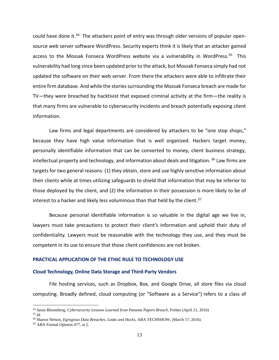could have done it.<sup>34</sup> The attackers point of entry was through older versions of popular opensource web server software WordPress. Security experts think it is likely that an attacker gained access to the Mossak Fonseca WordPress website via a vulnerability in WordPress.<sup>35</sup> This vulnerability had long since been updated prior to the attack, but Mossak Fonseca simply had not updated the software on their web server. From there the attackers were able to infiltrate their entire firm database. And while the stories surrounding the Mossak Fonseca breach are made for TV—they were breached by hacktivist that exposed criminal activity at the firm—the reality is that many firms are vulnerable to cybersecurity incidents and breach potentially exposing client information.

Law firms and legal departments are considered by attackers to be "one stop shops," because they have high value information that is well organized. Hackers target money, personally identifiable information that can be converted to money, client business strategy, intellectual property and technology, and information about deals and litigation.  $^{36}$  Law firms are targets for two general reasons: (1) they obtain, store and use highly sensitive information about their clients while at times utilizing safeguards to shield that information that may be inferior to those deployed by the client, and (2) the information in their possession is more likely to be of interest to a hacker and likely less voluminous than that held by the client.<sup>37</sup>

Because personal identifiable information is so valuable in the digital age we live in, lawyers must take precautions to protect their client's information and uphold their duty of confidentiality. Lawyers must be reasonable with the technology they use, and they must be competent in its use to ensure that those client confidences are not broken.

#### **PRACTICAL APPLICATION OF THE ETHIC RULE TO TECHNOLOGY USE**

#### **Cloud Technology, Online Data Storage and Third-Party Vendors**

File hosting services, such as Dropbox, Box, and Google Drive, all store files via cloud computing. Broadly defined, cloud computing (or "Software as a Service") refers to a class of

<sup>34</sup> Jason Bloomberg*, Cybersecurity Lessons Learned from Panama Papers Breach*, Forbes (April 21, 2016)

<sup>35</sup> *Id.*

<sup>36</sup> Sharon Nelson, *Egregious Data Breaches, Leaks and Hacks*, ABA TECHSHOW, (March 17, 2016).

<sup>37</sup> ABA Formal Opinion 477, at 2.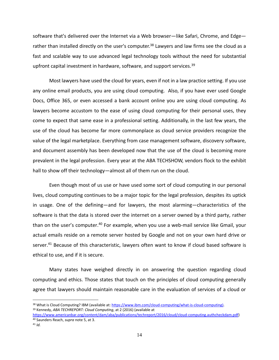software that's delivered over the Internet via a Web browser—like Safari, Chrome, and Edge rather than installed directly on the user's computer.<sup>38</sup> Lawyers and law firms see the cloud as a fast and scalable way to use advanced legal technology tools without the need for substantial upfront capital investment in hardware, software, and support services.<sup>39</sup>

Most lawyers have used the cloud for years, even if not in a law practice setting. If you use any online email products, you are using cloud computing. Also, if you have ever used Google Docs, Office 365, or even accessed a bank account online you are using cloud computing. As lawyers become accustom to the ease of using cloud computing for their personal uses, they come to expect that same ease in a professional setting. Additionally, in the last few years, the use of the cloud has become far more commonplace as cloud service providers recognize the value of the legal marketplace. Everything from case management software, discovery software, and document assembly has been developed now that the use of the cloud is becoming more prevalent in the legal profession. Every year at the ABA TECHSHOW, vendors flock to the exhibit hall to show off their technology—almost all of them run on the cloud.

Even though most of us use or have used some sort of cloud computing in our personal lives, cloud computing continues to be a major topic for the legal profession, despites its uptick in usage. One of the defining—and for lawyers, the most alarming—characteristics of the software is that the data is stored over the internet on a server owned by a third party, rather than on the user's computer.<sup>40</sup> For example, when you use a web-mail service like Gmail, your actual emails reside on a remote server hosted by Google and not on your own hard drive or server.<sup>41</sup> Because of this characteristic, lawyers often want to know if cloud based software is ethical to use, and if it is secure.

Many states have weighed directly in on answering the question regarding cloud computing and ethics. Those states that touch on the principles of cloud computing generally agree that lawyers should maintain reasonable care in the evaluation of services of a cloud or

[https://www.americanbar.org/content/dam/aba/publications/techreport/2016/cloud/cloud-computing.authcheckdam.pdf\)](https://www.americanbar.org/content/dam/aba/publications/techreport/2016/cloud/cloud-computing.authcheckdam.pdf) <sup>40</sup> Saunders Reach, *supra* note 5, at 3.

<sup>38</sup> What is Cloud Computing? IBM (available at: [https://www.ibm.com/cloud-computing/what-is-cloud-computing\)](https://www.ibm.com/cloud-computing/what-is-cloud-computing). <sup>39</sup> Kennedy, *ABA TECHREPORT: Cloud Computing*, at 2 (2016) (available at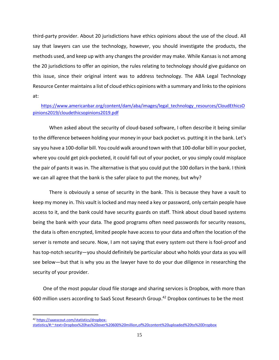third-party provider. About 20 jurisdictions have ethics opinions about the use of the cloud. All say that lawyers can use the technology, however, you should investigate the products, the methods used, and keep up with any changes the provider may make. While Kansas is not among the 20 jurisdictions to offer an opinion, the rules relating to technology should give guidance on this issue, since their original intent was to address technology. The ABA Legal Technology Resource Center maintains a list of cloud ethics opinions with a summary and links to the opinions at:

## [https://www.americanbar.org/content/dam/aba/images/legal\\_technology\\_resources/CloudEthicsO](https://www.americanbar.org/content/dam/aba/images/legal_technology_resources/CloudEthicsOpinions2019/cloudethicsopinions2019.pdf) [pinions2019/cloudethicsopinions2019.pdf](https://www.americanbar.org/content/dam/aba/images/legal_technology_resources/CloudEthicsOpinions2019/cloudethicsopinions2019.pdf)

When asked about the security of cloud-based software, I often describe it being similar to the difference between holding your money in your back pocket vs. putting it in the bank. Let's say you have a 100-dollar bill. You could walk around town with that 100-dollar bill in your pocket, where you could get pick-pocketed, it could fall out of your pocket, or you simply could misplace the pair of pants it was in. The alternative is that you could put the 100 dollars in the bank. I think we can all agree that the bank is the safer place to put the money, but why?

There is obviously a sense of security in the bank. This is because they have a vault to keep my money in. This vault is locked and may need a key or password, only certain people have access to it, and the bank could have security guards on staff. Think about cloud based systems being the bank with your data. The good programs often need passwords for security reasons, the data is often encrypted, limited people have access to your data and often the location of the server is remote and secure. Now, I am not saying that every system out there is fool-proof and has top-notch security—you should definitely be particular about who holds your data as you will see below—but that is why you as the lawyer have to do your due diligence in researching the security of your provider.

One of the most popular cloud file storage and sharing services is Dropbox, with more than 600 million users according to SaaS Scout Research Group.<sup>42</sup> Dropbox continues to be the most

<sup>42</sup> [https://saasscout.com/statistics/dropbox-](https://saasscout.com/statistics/dropbox-statistics/#:~:text=Dropbox%20has%20over%20600%20million,of%20content%20uploaded%20to%20Dropbox)

[statistics/#:~:text=Dropbox%20has%20over%20600%20million,of%20content%20uploaded%20to%20Dropbox](https://saasscout.com/statistics/dropbox-statistics/#:~:text=Dropbox%20has%20over%20600%20million,of%20content%20uploaded%20to%20Dropbox)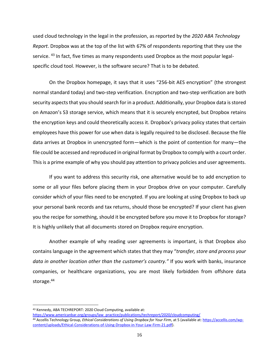used cloud technology in the legal in the profession, as reported by the *2020 ABA Technology Report*. Dropbox was at the top of the list with 67% of respondents reporting that they use the service. <sup>43</sup> In fact, five times as many respondents used Dropbox as the most popular legalspecific cloud tool. However, is the software secure? That is to be debated.

On the Dropbox homepage, it says that it uses "256-bit AES encryption" (the strongest normal standard today) and two-step verification. Encryption and two-step verification are both security aspects that you should search for in a product. Additionally, your Dropbox data is stored on Amazon's S3 storage service, which means that it is securely encrypted, but Dropbox retains the encryption keys and could theoretically access it. Dropbox's privacy policy states that certain employees have this power for use when data is legally required to be disclosed. Because the file data arrives at Dropbox in unencrypted form—which is the point of contention for many—the file could be accessed and reproduced in original format by Dropbox to comply with a court order. This is a prime example of why you should pay attention to privacy policies and user agreements.

If you want to address this security risk, one alternative would be to add encryption to some or all your files before placing them in your Dropbox drive on your computer. Carefully consider which of your files need to be encrypted. If you are looking at using Dropbox to back up your personal bank records and tax returns, should those be encrypted? If your client has given you the recipe for something, should it be encrypted before you move it to Dropbox for storage? It is highly unlikely that all documents stored on Dropbox require encryption.

Another example of why reading user agreements is important, is that Dropbox also contains language in the agreement which states that they may "*transfer, store and process your data in another location other than the customer's country."* If you work with banks, insurance companies, or healthcare organizations, you are most likely forbidden from offshore data storage.<sup>44</sup>

<sup>43</sup> Kennedy, ABA TECHREPORT: 2020 Cloud Computing, available at:

[https://www.americanbar.org/groups/law\\_practice/publications/techreport/2020/cloudcomputing/](https://www.americanbar.org/groups/law_practice/publications/techreport/2020/cloudcomputing/) <sup>44</sup> Accellis Technology Group*, Ethical Considerations of Using Dropbox for Your Firm*, at 5 (available at: [https://accellis.com/wp](https://accellis.com/wp-content/uploads/Ethical-Considerations-of-Using-Dropbox-in-Your-Law-Firm-21.pdf)[content/uploads/Ethical-Considerations-of-Using-Dropbox-in-Your-Law-Firm-21.pdf\)](https://accellis.com/wp-content/uploads/Ethical-Considerations-of-Using-Dropbox-in-Your-Law-Firm-21.pdf).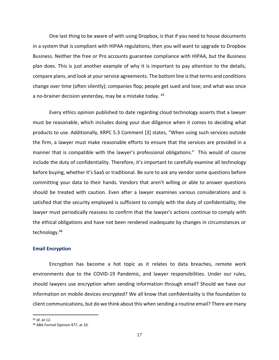One last thing to be aware of with using Dropbox, is that if you need to house documents in a system that is compliant with HIPAA regulations, then you will want to upgrade to Dropbox Business. Neither the free or Pro accounts guarantee compliance with HIPAA, but the Business plan does. This is just another example of why it is important to pay attention to the details, compare plans, and look at your service agreements. The bottom line is that terms and conditions change over time (often silently); companies flop; people get sued and lose; and what was once a no-brainer decision yesterday, may be a mistake today. <sup>45</sup>

Every ethics opinion published to date regarding cloud technology asserts that a lawyer must be reasonable, which includes doing your due diligence when it comes to deciding what products to use. Additionally, KRPC 5.3 Comment [3] states, "When using such services outside the firm, a lawyer must make reasonable efforts to ensure that the services are provided in a manner that is compatible with the lawyer's professional obligations." This would of course include the duty of confidentiality. Therefore, it's important to carefully examine all technology before buying, whether it's SaaS or traditional. Be sure to ask any vendor some questions before committing your data to their hands. Vendors that aren't willing or able to answer questions should be treated with caution. Even after a lawyer examines various considerations and is satisfied that the security employed is sufficient to comply with the duty of confidentiality, the lawyer must periodically reassess to confirm that the lawyer's actions continue to comply with the ethical obligations and have not been rendered inadequate by changes in circumstances or technology.<sup>46</sup>

#### **Email Encryption**

Encryption has become a hot topic as it relates to data breaches, remote work environments due to the COVID-19 Pandemic, and lawyer responsibilities. Under our rules, should lawyers use encryption when sending information through email? Should we have our information on mobile devices encrypted? We all know that confidentiality is the foundation to client communications, but do we think about this when sending a routine email? There are many

<sup>45</sup> *Id*. at 12.

<sup>46</sup> ABA Formal Opinion 477, at 10.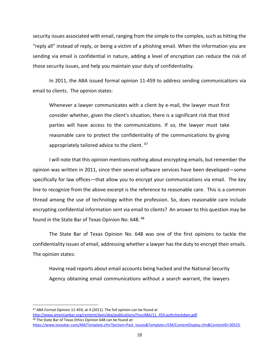security issues associated with email, ranging from the simple to the complex, such as hitting the "reply all" instead of reply, or being a victim of a phishing email. When the information you are sending via email is confidential in nature, adding a level of encryption can reduce the risk of those security issues, and help you maintain your duty of confidentiality.

In 2011, the ABA issued formal opinion 11-459 to address sending communications via email to clients. The opinion states:

Whenever a lawyer communicates with a client by e-mail, the lawyer must first consider whether, given the client's situation, there is a significant risk that third parties will have access to the communications. If so, the lawyer must take reasonable care to protect the confidentiality of the communications by giving appropriately tailored advice to the client. <sup>47</sup>

I will note that this opinion mentions nothing about encrypting emails, but remember the opinion was written in 2011, since then several software services have been developed―some specifically for law offices—that allow you to encrypt your communications via email. The key line to recognize from the above excerpt is the reference to reasonable care. This is a common thread among the use of technology within the profession. So, does reasonable care include encrypting confidential information sent via email to clients? An answer to this question may be found in the State Bar of Texas Opinion No. 648. <sup>48</sup>

The State Bar of Texas Opinion No. 648 was one of the first opinions to tackle the confidentiality issues of email, addressing whether a lawyer has the duty to encrypt their emails. The opinion states:

Having read reports about email accounts being hacked and the National Security Agency obtaining email communications without a search warrant, the lawyers

<sup>47</sup> ABA Formal Opinion 11-459, at 4 (2011). The full opinion can be found at

[http://www.americanbar.org/content/dam/aba/publications/YourABA/11\\_459.authcheckdam.pdf.](http://www.americanbar.org/content/dam/aba/publications/YourABA/11_459.authcheckdam.pdf) <sup>48</sup> The State Bar of Texas Ethics Opinion 648 can be found at: [https://www.texasbar.com/AM/Template.cfm?Section=Past\\_Issues&Template=/CM/ContentDisplay.cfm&ContentID=30523.](https://www.texasbar.com/AM/Template.cfm?Section=Past_Issues&Template=/CM/ContentDisplay.cfm&ContentID=30523)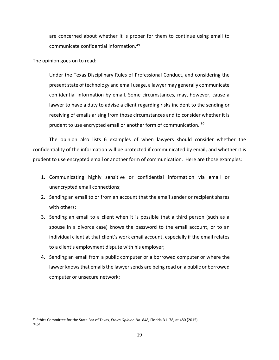are concerned about whether it is proper for them to continue using email to communicate confidential information.<sup>49</sup>

The opinion goes on to read:

Under the Texas Disciplinary Rules of Professional Conduct, and considering the present state of technology and email usage, a lawyer may generally communicate confidential information by email. Some circumstances, may, however, cause a lawyer to have a duty to advise a client regarding risks incident to the sending or receiving of emails arising from those circumstances and to consider whether it is prudent to use encrypted email or another form of communication. <sup>50</sup>

The opinion also lists 6 examples of when lawyers should consider whether the confidentiality of the information will be protected if communicated by email, and whether it is prudent to use encrypted email or another form of communication. Here are those examples:

- 1. Communicating highly sensitive or confidential information via email or unencrypted email connections;
- 2. Sending an email to or from an account that the email sender or recipient shares with others;
- 3. Sending an email to a client when it is possible that a third person (such as a spouse in a divorce case) knows the password to the email account, or to an individual client at that client's work email account, especially if the email relates to a client's employment dispute with his employer;
- 4. Sending an email from a public computer or a borrowed computer or where the lawyer knows that emails the lawyer sends are being read on a public or borrowed computer or unsecure network;

<sup>49</sup> Ethics Committee for the State Bar of Texas, *Ethics Opinion No. 648*, Florida B.J. 78, at 480 (2015). <sup>50</sup> *Id.*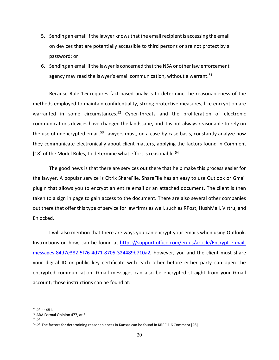- 5. Sending an email if the lawyer knows that the email recipient is accessing the email on devices that are potentially accessible to third persons or are not protect by a password; or
- 6. Sending an email if the lawyer is concerned that the NSA or other law enforcement agency may read the lawyer's email communication, without a warrant.  $51$

Because Rule 1.6 requires fact-based analysis to determine the reasonableness of the methods employed to maintain confidentiality, strong protective measures, like encryption are warranted in some circumstances.<sup>52</sup> Cyber-threats and the proliferation of electronic communications devices have changed the landscape, and it is not always reasonable to rely on the use of unencrypted email.<sup>53</sup> Lawyers must, on a case-by-case basis, constantly analyze how they communicate electronically about client matters, applying the factors found in Comment [18] of the Model Rules, to determine what effort is reasonable.<sup>54</sup>

The good news is that there are services out there that help make this process easier for the lawyer. A popular service is Citrix ShareFile. ShareFile has an easy to use Outlook or Gmail plugin that allows you to encrypt an entire email or an attached document. The client is then taken to a sign in page to gain access to the document. There are also several other companies out there that offer this type of service for law firms as well, such as RPost, HushMail, Virtru, and Enlocked.

I will also mention that there are ways you can encrypt your emails when using Outlook. Instructions on how, can be found at [https://support.office.com/en-us/article/Encrypt-e-mail](https://support.office.com/en-us/article/Encrypt-e-mail-messages-84d7e382-5f76-4d71-8705-324489b710a2)[messages-84d7e382-5f76-4d71-8705-324489b710a2,](https://support.office.com/en-us/article/Encrypt-e-mail-messages-84d7e382-5f76-4d71-8705-324489b710a2) however, you and the client must share your digital ID or public key certificate with each other before either party can open the encrypted communication. Gmail messages can also be encrypted straight from your Gmail account; those instructions can be found at:

<sup>51</sup> *Id.* at 481.

<sup>52</sup> ABA Formal Opinion 477, at 5.

<sup>53</sup> *Id.*

<sup>54</sup> *Id.* The factors for determining reasonableness in Kansas can be found in KRPC 1.6 Comment [26].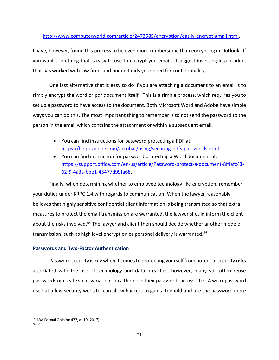## [http://www.computerworld.com/article/2473585/encryption/easily-encrypt-gmail.html.](http://www.computerworld.com/article/2473585/encryption/easily-encrypt-gmail.html)

I have, however, found this process to be even more cumbersome than encrypting in Outlook. If you want something that is easy to use to encrypt you emails, I suggest investing in a product that has worked with law firms and understands your need for confidentiality.

One last alternative that is easy to do if you are attaching a document to an email is to simply encrypt the word or pdf document itself. This is a simple process, which requires you to set up a password to have access to the document. Both Microsoft Word and Adobe have simple ways you can do this. The most important thing to remember is to not send the password to the person in the email which contains the attachment or within a subsequent email.

- You can find instructions for password protecting a PDF at: [https://helpx.adobe.com/acrobat/using/securing-pdfs-passwords.html.](https://helpx.adobe.com/acrobat/using/securing-pdfs-passwords.html)
- You can find instruction for password protecting a Word document at: [https://support.office.com/en-us/article/Password-protect-a-document-8f4afc43-](https://support.office.com/en-us/article/Password-protect-a-document-8f4afc43-62f9-4a3a-bbe1-45477d99fa68) [62f9-4a3a-bbe1-45477d99fa68.](https://support.office.com/en-us/article/Password-protect-a-document-8f4afc43-62f9-4a3a-bbe1-45477d99fa68)

Finally, when determining whether to employee technology like encryption, remember your duties under KRPC 1.4 with regards to communication. When the lawyer reasonably believes that highly sensitive confidential client information is being transmitted so that extra measures to protect the email transmission are warranted, the lawyer should inform the client about the risks involved.<sup>55</sup> The lawyer and client then should decide whether another mode of transmission, such as high level encryption or personal delivery is warranted.<sup>56</sup>

## **Passwords and Two-Factor Authentication**

Password security is key when it comes to protecting yourself from potential security risks associated with the use of technology and data breaches, however, many still often reuse passwords or create small variations on a theme in their passwords across sites. A weak password used at a low security website, can allow hackers to gain a toehold and use the password more

<sup>55</sup> ABA Formal Opinion 477, at 10 (2017).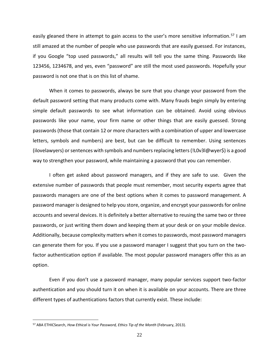easily gleaned there in attempt to gain access to the user's more sensitive information.<sup>57</sup> I am still amazed at the number of people who use passwords that are easily guessed. For instances, if you Google "top used passwords," all results will tell you the same thing. Passwords like 123456, 1234678, and yes, even "password" are still the most used passwords. Hopefully your password is not one that is on this list of shame.

When it comes to passwords, always be sure that you change your password from the default password setting that many products come with. Many frauds begin simply by entering simple default passwords to see what information can be obtained. Avoid using obvious passwords like your name, your firm name or other things that are easily guessed. Strong passwords (those that contain 12 or more characters with a combination of upper and lowercase letters, symbols and numbers) are best, but can be difficult to remember. Using sentences (ilovelawyers) or sentences with symbols and numbers replacing letters (!L0v3l@wyer\$) is a good way to strengthen your password, while maintaining a password that you can remember.

I often get asked about password managers, and if they are safe to use. Given the extensive number of passwords that people must remember, most security experts agree that passwords managers are one of the best options when it comes to password management. A password manager is designed to help you store, organize, and encrypt your passwords for online accounts and several devices. It is definitely a better alternative to reusing the same two or three passwords, or just writing them down and keeping them at your desk or on your mobile device. Additionally, because complexity matters when it comes to passwords, most password managers can generate them for you. If you use a password manager I suggest that you turn on the twofactor authentication option if available. The most popular password managers offer this as an option.

Even if you don't use a password manager, many popular services support two-factor authentication and you should turn it on when it is available on your accounts. There are three different types of authentications factors that currently exist. These include:

<sup>57</sup> ABA ETHICSearch, *How Ethical is Your Password, Ethics Tip of the Month* (February, 2013).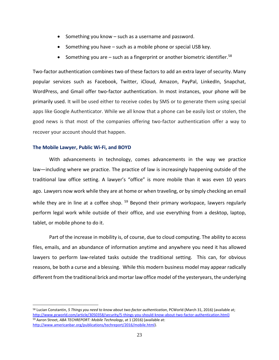- Something you know such as a username and password.
- Something you have such as a mobile phone or special USB key.
- Something you are  $-$  such as a fingerprint or another biometric identifier.<sup>58</sup>

Two-factor authentication combines two of these factors to add an extra layer of security. Many popular services such as Facebook, Twitter, iCloud, Amazon, PayPal, LinkedIn, Snapchat, WordPress, and Gmail offer two-factor authentication. In most instances, your phone will be primarily used. It will be used either to receive codes by SMS or to generate them using special apps like Google Authenticator. While we all know that a phone can be easily lost or stolen, the good news is that most of the companies offering two-factor authentication offer a way to recover your account should that happen.

#### **The Mobile Lawyer, Public Wi-Fi, and BOYD**

With advancements in technology, comes advancements in the way we practice law―including where we practice. The practice of law is increasingly happening outside of the traditional law office setting. A lawyer's "office" is more mobile than it was even 10 years ago. Lawyers now work while they are at home or when traveling, or by simply checking an email while they are in line at a coffee shop. <sup>59</sup> Beyond their primary workspace, lawyers regularly perform legal work while outside of their office, and use everything from a desktop, laptop, tablet, or mobile phone to do it.

Part of the increase in mobility is, of course, due to cloud computing. The ability to access files, emails, and an abundance of information anytime and anywhere you need it has allowed lawyers to perform law-related tasks outside the traditional setting. This can, for obvious reasons, be both a curse and a blessing. While this modern business model may appear radically different from the traditional brick and mortar law office model of the yesteryears, the underlying

<sup>58</sup> Lucian Constantin, *5 Things you need to know about two-factor authentication*, PCWorld (March 31, 2016) (available at; [http://www.pcworld.com/article/3050358/security/5-things-you-should-know-about-two-factor-authentication.html\)](http://www.pcworld.com/article/3050358/security/5-things-you-should-know-about-two-factor-authentication.html) <sup>59</sup> Aaron Street, *ABA TECHREPORT: Mobile Technology*, at 1 (2016) (available at: [http://www.americanbar.org/publications/techreport/2016/mobile.html\)](http://www.americanbar.org/publications/techreport/2016/mobile.html).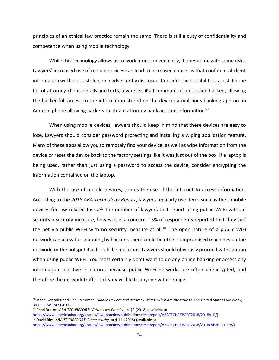principles of an ethical law practice remain the same. There is still a duty of confidentiality and competence when using mobile technology.

While this technology allows us to work more conveniently, it does come with some risks. Lawyers' increased use of mobile devices can lead to increased concerns that confidential client information will be lost, stolen, or inadvertently disclosed. Consider the possibilities: a lost iPhone full of attorney-client e-mails and texts; a wireless iPad communication session hacked, allowing the hacker full access to the information stored on the device; a malicious banking app on an Android phone allowing hackers to obtain attorney bank account information<sup>60</sup>

When using mobile devices, lawyers should keep in mind that these devices are easy to lose. Lawyers should consider password protecting and installing a wiping application feature. Many of these apps allow you to remotely find your device, as well as wipe information from the device or reset the device back to the factory settings like it was just out of the box. If a laptop is being used, rather than just using a password to access the device, consider encrypting the information contained on the laptop.

With the use of mobile devices, comes the use of the Internet to access information. According to the *2018 ABA Technology Report*, lawyers regularly use items such as their mobile devices for law related tasks.<sup>61</sup> The number of lawyers that report using public Wi-Fi without security a security measure, however, is a concern. 15% of respondents reported that they surf the net via public Wi-Fi with no security measure at all.<sup>62</sup> The open nature of a public WiFi network can allow for snooping by hackers, there could be other compromised machines on the network, or the hotspot itself could be malicious. Lawyers should obviously proceed with caution when using public Wi-Fi. You most certainly don't want to do any online banking or access any information sensitive in nature, because public Wi-Fi networks are often unencrypted, and therefore the network traffic is clearly visible to anyone within range.

<sup>60</sup> Jason Gonzalez and Linn Freedman, *Mobile Devices and Attorney Ethics: What are the Issues?*, The United States Law Week, 80 U.S.L.W. 747 (2011).

<sup>61</sup> Chad Burton*, ABA TECHREPORT: Virtual Law Practice*, at §2 (2018) (available at

[https://www.americanbar.org/groups/law\\_practice/publications/techreport/ABATECHREPORT2018/2018VLP/\)](https://www.americanbar.org/groups/law_practice/publications/techreport/ABATECHREPORT2018/2018VLP/) <sup>62</sup> David Ries, *ABA TECHREPORT:Cybersecurity*, at § 11. (2018) (available at [https://www.americanbar.org/groups/law\\_practice/publications/techreport/ABATECHREPORT2018/2018Cybersecurity/\)](https://www.americanbar.org/groups/law_practice/publications/techreport/ABATECHREPORT2018/2018Cybersecurity/)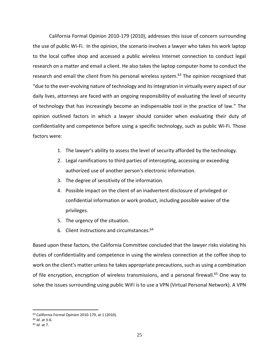California Formal Opinion 2010-179 (2010), addresses this issue of concern surrounding the use of public Wi-Fi. In the opinion, the scenario involves a lawyer who takes his work laptop to the local coffee shop and accessed a public wireless Internet connection to conduct legal research on a matter and email a client. He also takes the laptop computer home to conduct the research and email the client from his personal wireless system.<sup>63</sup> The opinion recognized that "due to the ever-evolving nature of technology and its integration in virtually every aspect of our daily lives, attorneys are faced with an ongoing responsibility of evaluating the level of security of technology that has increasingly become an indispensable tool in the practice of law." The opinion outlined factors in which a lawyer should consider when evaluating their duty of confidentiality and competence before using a specific technology, such as public Wi-Fi. Those factors were:

- 1. The lawyer's ability to assess the level of security afforded by the technology.
- 2. Legal ramifications to third parties of intercepting, accessing or exceeding authorized use of another person's electronic information.
- 3. The degree of sensitivity of the information.
- 4. Possible impact on the client of an inadvertent disclosure of privileged or confidential information or work product, including possible waiver of the privileges.
- 5. The urgency of the situation.
- 6. Client instructions and circumstances.<sup>64</sup>

Based upon these factors, the California Committee concluded that the lawyer risks violating his duties of confidentiality and competence in using the wireless connection at the coffee shop to work on the client's matter unless he takes appropriate precautions, such as using a combination of file encryption, encryption of wireless transmissions, and a personal firewall.<sup>65</sup> One way to solve the issues surrounding using public WiFi is to use a VPN (Virtual Personal Network). A VPN

<sup>63</sup> California Formal Opinion 2010-179, at 1 (2010).

<sup>64</sup> *Id.* at 3-6.

<sup>65</sup> *Id.* at 7.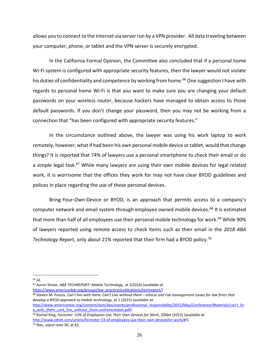allows you to connect to the Internet via server run by a VPN provider. All data traveling between your computer, phone, or tablet and the VPN server is securely encrypted.

In the California Formal Opinion, the Committee also concluded that if a personal home Wi-Fi system is configured with appropriate security features, then the lawyer would not violate his duties of confidentiality and competence by working from home.<sup>66</sup> One suggestion I have with regards to personal home Wi-Fi is that you want to make sure you are changing your default passwords on your wireless router, because hackers have managed to obtain access to those default passwords. If you don't change your password, then you may not be working from a connection that "has been configured with appropriate security features."

In the circumstance outlined above, the lawyer was using his work laptop to work remotely, however, what if had been his own personal mobile device or tablet, would that change things? It is reported that 74% of lawyers use a personal smartphone to check their email or do a simple legal task.<sup>67</sup> While many lawyers are using their own mobile devices for legal related work, it is worrisome that the offices they work for may not have clear BYOD guidelines and polices in place regarding the use of these personal devices.

Bring-Your-Own-Device or BYOD, is an approach that permits access to a company's computer network and email system through employee owned mobile devices.<sup>68</sup> It is estimated that more than half of all employees use their personal mobile technology for work. <sup>69</sup> While 90% of lawyers reported using remote access to check items such as their email in the *2018 ABA Technology Report*, only about 21% reported that their firm had a BYOD policy.<sup>70</sup>

<sup>66</sup> *Id.*

<sup>67</sup> Aaron Street, *ABA TECHREPORT: Mobile Technology*, at 1(2016) (available at [https://www.americanbar.org/groups/law\\_practice/publications/techreport/\)](https://www.americanbar.org/groups/law_practice/publications/techreport/)

<sup>68</sup> Steven M. Puiszis, *Can't live with them, Can't Live without them – ethical and risk management issues for law firms that develop a BYOD approach to mobile technology,* at 1 (2015) (available at:

[http://www.americanbar.org/content/dam/aba/events/professional\\_responsibility/2015/May/Conference/Materials/can't\\_liv](http://www.americanbar.org/content/dam/aba/events/professional_responsibility/2015/May/Conference/Materials/can) [e\\_with\\_them\\_cant\\_live\\_without\\_them.authcheckdam.pdf\)](http://www.americanbar.org/content/dam/aba/events/professional_responsibility/2015/May/Conference/Materials/can).

<sup>69</sup> Rachel King, *Forrester: 53% of Employees Use Their Own Devices for Work*, ZDNet (2012) (available at: [http://www.zdnet.com/article/forrester-53-of-employees-use-their-own-devicesfor-work/#!](http://www.zdnet.com/article/forrester-53-of-employees-use-their-own-devicesfor-work/)). <sup>70</sup> Ries, *supra* note 30, at §3.

<sup>26</sup>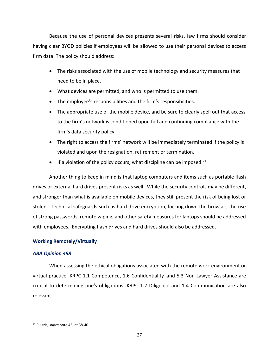Because the use of personal devices presents several risks, law firms should consider having clear BYOD policies if employees will be allowed to use their personal devices to access firm data. The policy should address:

- The risks associated with the use of mobile technology and security measures that need to be in place.
- What devices are permitted, and who is permitted to use them.
- The employee's responsibilities and the firm's responsibilities.
- The appropriate use of the mobile device, and be sure to clearly spell out that access to the firm's network is conditioned upon full and continuing compliance with the firm's data security policy.
- The right to access the firms' network will be immediately terminated if the policy is violated and upon the resignation, retirement or termination.
- If a violation of the policy occurs, what discipline can be imposed.<sup>71</sup>

Another thing to keep in mind is that laptop computers and items such as portable flash drives or external hard drives present risks as well. While the security controls may be different, and stronger than what is available on mobile devices, they still present the risk of being lost or stolen. Technical safeguards such as hard drive encryption, locking down the browser, the use of strong passwords, remote wiping, and other safety measures for laptops should be addressed with employees. Encrypting flash drives and hard drives should also be addressed.

## **Working Remotely/Virtually**

## *ABA Opinion 498*

When assessing the ethical obligations associated with the remote work environment or virtual practice, KRPC 1.1 Competence, 1.6 Confidentiality, and 5.3 Non-Lawyer Assistance are critical to determining one's obligations. KRPC 1.2 Diligence and 1.4 Communication are also relevant.

<sup>71</sup> Puiszis, *supra* note 45, at 38-40.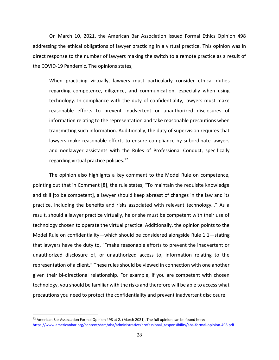On March 10, 2021, the American Bar Association issued Formal Ethics Opinion 498 addressing the ethical obligations of lawyer practicing in a virtual practice. This opinion was in direct response to the number of lawyers making the switch to a remote practice as a result of the COVID-19 Pandemic. The opinions states,

When practicing virtually, lawyers must particularly consider ethical duties regarding competence, diligence, and communication, especially when using technology. In compliance with the duty of confidentiality, lawyers must make reasonable efforts to prevent inadvertent or unauthorized disclosures of information relating to the representation and take reasonable precautions when transmitting such information. Additionally, the duty of supervision requires that lawyers make reasonable efforts to ensure compliance by subordinate lawyers and nonlawyer assistants with the Rules of Professional Conduct, specifically regarding virtual practice policies.<sup>72</sup>

The opinion also highlights a key comment to the Model Rule on competence, pointing out that in Comment [8], the rule states, "To maintain the requisite knowledge and skill [to be competent], a lawyer should keep abreast of changes in the law and its practice, including the benefits and risks associated with relevant technology…" As a result, should a lawyer practice virtually, he or she must be competent with their use of technology chosen to operate the virtual practice. Additionally, the opinion points to the Model Rule on confidentiality—which should be considered alongside Rule 1.1—stating that lawyers have the duty to, ""make reasonable efforts to prevent the inadvertent or unauthorized disclosure of, or unauthorized access to, information relating to the representation of a client." These rules should be viewed in connection with one another given their bi-directional relationship. For example, if you are competent with chosen technology, you should be familiar with the risks and therefore will be able to access what precautions you need to protect the confidentiality and prevent inadvertent disclosure.

 $72$  American Bar Association Formal Opinion 498 at 2. (March 2021). The full opinion can be found here: [https://www.americanbar.org/content/dam/aba/administrative/professional\\_responsibility/aba-formal-opinion-498.pdf](https://www.americanbar.org/content/dam/aba/administrative/professional_responsibility/aba-formal-opinion-498.pdf)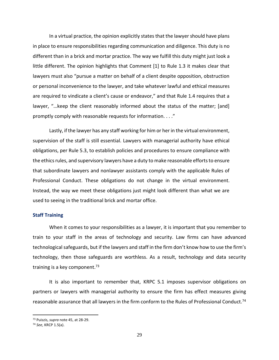In a virtual practice, the opinion explicitly states that the lawyer should have plans in place to ensure responsibilities regarding communication and diligence. This duty is no different than in a brick and mortar practice. The way we fulfill this duty might just look a little different. The opinion highlights that Comment [1] to Rule 1.3 it makes clear that lawyers must also "pursue a matter on behalf of a client despite opposition, obstruction or personal inconvenience to the lawyer, and take whatever lawful and ethical measures are required to vindicate a client's cause or endeavor," and that Rule 1.4 requires that a lawyer, "…keep the client reasonably informed about the status of the matter; [and] promptly comply with reasonable requests for information. . . ."

Lastly, if the lawyer has any staff working for him or her in the virtual environment, supervision of the staff is still essential. Lawyers with managerial authority have ethical obligations, per Rule 5.3, to establish policies and procedures to ensure compliance with the ethics rules, and supervisory lawyers have a duty to make reasonable efforts to ensure that subordinate lawyers and nonlawyer assistants comply with the applicable Rules of Professional Conduct. These obligations do not change in the virtual environment. Instead, the way we meet these obligations just might look different than what we are used to seeing in the traditional brick and mortar office.

#### **Staff Training**

When it comes to your responsibilities as a lawyer, it is important that you remember to train to your staff in the areas of technology and security. Law firms can have advanced technological safeguards, but if the lawyers and staff in the firm don't know how to use the firm's technology, then those safeguards are worthless. As a result, technology and data security training is a key component. $73$ 

It is also important to remember that, KRPC 5.1 imposes supervisor obligations on partners or lawyers with managerial authority to ensure the firm has effect measures giving reasonable assurance that all lawyers in the firm conform to the Rules of Professional Conduct.<sup>74</sup>

<sup>73</sup> Puiszis, *supra* note 45, at 28-29.

<sup>74</sup> *See*, KRCP 1.5(a).